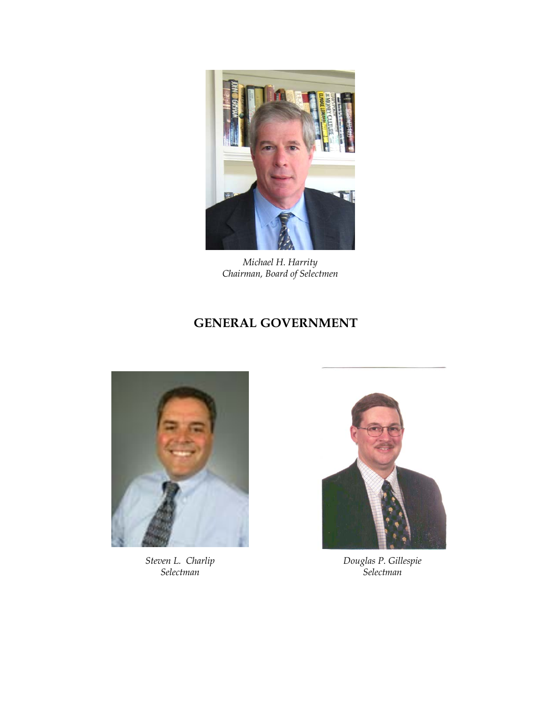

*Michael H. Harrity Chairman, Board of Selectmen*

# **GENERAL GOVERNMENT**



*Steven L. Charlip Selectman*



*Douglas P. Gillespie Selectman*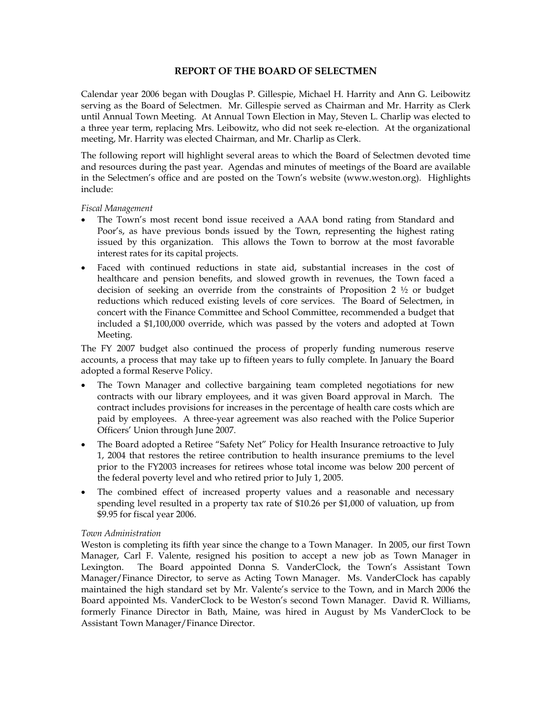# **REPORT OF THE BOARD OF SELECTMEN**

Calendar year 2006 began with Douglas P. Gillespie, Michael H. Harrity and Ann G. Leibowitz serving as the Board of Selectmen. Mr. Gillespie served as Chairman and Mr. Harrity as Clerk until Annual Town Meeting. At Annual Town Election in May, Steven L. Charlip was elected to a three year term, replacing Mrs. Leibowitz, who did not seek re-election. At the organizational meeting, Mr. Harrity was elected Chairman, and Mr. Charlip as Clerk.

The following report will highlight several areas to which the Board of Selectmen devoted time and resources during the past year. Agendas and minutes of meetings of the Board are available in the Selectmen's office and are posted on the Town's website (www.weston.org). Highlights include:

# *Fiscal Management*

- The Town's most recent bond issue received a AAA bond rating from Standard and Poor's, as have previous bonds issued by the Town, representing the highest rating issued by this organization. This allows the Town to borrow at the most favorable interest rates for its capital projects.
- Faced with continued reductions in state aid, substantial increases in the cost of healthcare and pension benefits, and slowed growth in revenues, the Town faced a decision of seeking an override from the constraints of Proposition 2  $\frac{1}{2}$  or budget reductions which reduced existing levels of core services. The Board of Selectmen, in concert with the Finance Committee and School Committee, recommended a budget that included a \$1,100,000 override, which was passed by the voters and adopted at Town Meeting.

The FY 2007 budget also continued the process of properly funding numerous reserve accounts, a process that may take up to fifteen years to fully complete. In January the Board adopted a formal Reserve Policy.

- The Town Manager and collective bargaining team completed negotiations for new contracts with our library employees, and it was given Board approval in March. The contract includes provisions for increases in the percentage of health care costs which are paid by employees. A three-year agreement was also reached with the Police Superior Officers' Union through June 2007.
- The Board adopted a Retiree "Safety Net" Policy for Health Insurance retroactive to July 1, 2004 that restores the retiree contribution to health insurance premiums to the level prior to the FY2003 increases for retirees whose total income was below 200 percent of the federal poverty level and who retired prior to July 1, 2005.
- The combined effect of increased property values and a reasonable and necessary spending level resulted in a property tax rate of \$10.26 per \$1,000 of valuation, up from \$9.95 for fiscal year 2006.

# *Town Administration*

Weston is completing its fifth year since the change to a Town Manager. In 2005, our first Town Manager, Carl F. Valente, resigned his position to accept a new job as Town Manager in Lexington. The Board appointed Donna S. VanderClock, the Town's Assistant Town Manager/Finance Director, to serve as Acting Town Manager. Ms. VanderClock has capably maintained the high standard set by Mr. Valente's service to the Town, and in March 2006 the Board appointed Ms. VanderClock to be Weston's second Town Manager. David R. Williams, formerly Finance Director in Bath, Maine, was hired in August by Ms VanderClock to be Assistant Town Manager/Finance Director.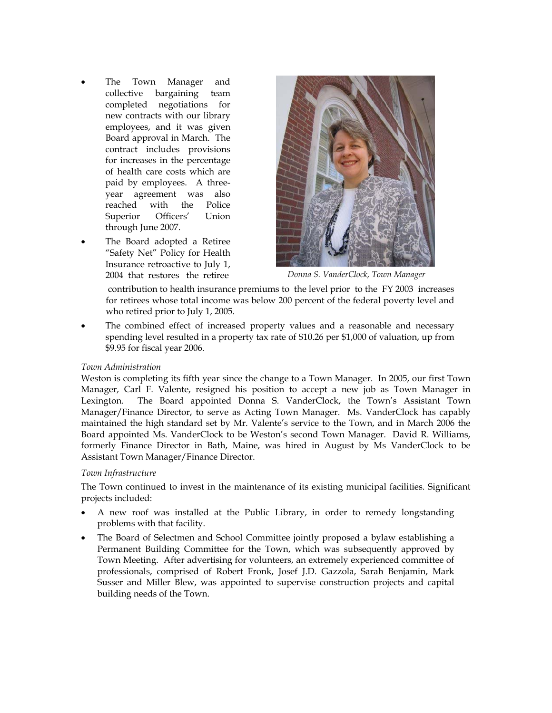- The Town Manager and collective bargaining team completed negotiations for new contracts with our library employees, and it was given Board approval in March. The contract includes provisions for increases in the percentage of health care costs which are paid by employees. A threeyear agreement was also reached with the Police Superior Officers' Union through June 2007.
- The Board adopted a Retiree "Safety Net" Policy for Health Insurance retroactive to July 1,



2004 that restores the retiree *Donna S. VanderClock, Town Manager* 

 contribution to health insurance premiums to the level prior to the FY 2003 increases for retirees whose total income was below 200 percent of the federal poverty level and who retired prior to July 1, 2005.

The combined effect of increased property values and a reasonable and necessary spending level resulted in a property tax rate of \$10.26 per \$1,000 of valuation, up from \$9.95 for fiscal year 2006.

# *Town Administration*

Weston is completing its fifth year since the change to a Town Manager. In 2005, our first Town Manager, Carl F. Valente, resigned his position to accept a new job as Town Manager in Lexington. The Board appointed Donna S. VanderClock, the Town's Assistant Town Manager/Finance Director, to serve as Acting Town Manager. Ms. VanderClock has capably maintained the high standard set by Mr. Valente's service to the Town, and in March 2006 the Board appointed Ms. VanderClock to be Weston's second Town Manager. David R. Williams, formerly Finance Director in Bath, Maine, was hired in August by Ms VanderClock to be Assistant Town Manager/Finance Director.

# *Town Infrastructure*

The Town continued to invest in the maintenance of its existing municipal facilities. Significant projects included:

- A new roof was installed at the Public Library, in order to remedy longstanding problems with that facility.
- The Board of Selectmen and School Committee jointly proposed a bylaw establishing a Permanent Building Committee for the Town, which was subsequently approved by Town Meeting. After advertising for volunteers, an extremely experienced committee of professionals, comprised of Robert Fronk, Josef J.D. Gazzola, Sarah Benjamin, Mark Susser and Miller Blew, was appointed to supervise construction projects and capital building needs of the Town.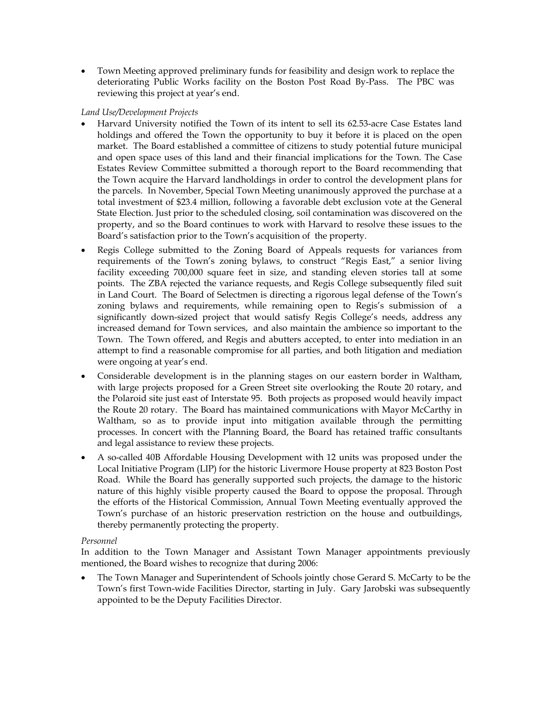• Town Meeting approved preliminary funds for feasibility and design work to replace the deteriorating Public Works facility on the Boston Post Road By-Pass. The PBC was reviewing this project at year's end.

# *Land Use/Development Projects*

- Harvard University notified the Town of its intent to sell its 62.53-acre Case Estates land holdings and offered the Town the opportunity to buy it before it is placed on the open market. The Board established a committee of citizens to study potential future municipal and open space uses of this land and their financial implications for the Town. The Case Estates Review Committee submitted a thorough report to the Board recommending that the Town acquire the Harvard landholdings in order to control the development plans for the parcels. In November, Special Town Meeting unanimously approved the purchase at a total investment of \$23.4 million, following a favorable debt exclusion vote at the General State Election. Just prior to the scheduled closing, soil contamination was discovered on the property, and so the Board continues to work with Harvard to resolve these issues to the Board's satisfaction prior to the Town's acquisition of the property.
- Regis College submitted to the Zoning Board of Appeals requests for variances from requirements of the Town's zoning bylaws, to construct "Regis East," a senior living facility exceeding 700,000 square feet in size, and standing eleven stories tall at some points. The ZBA rejected the variance requests, and Regis College subsequently filed suit in Land Court. The Board of Selectmen is directing a rigorous legal defense of the Town's zoning bylaws and requirements, while remaining open to Regis's submission of a significantly down-sized project that would satisfy Regis College's needs, address any increased demand for Town services, and also maintain the ambience so important to the Town. The Town offered, and Regis and abutters accepted, to enter into mediation in an attempt to find a reasonable compromise for all parties, and both litigation and mediation were ongoing at year's end.
- Considerable development is in the planning stages on our eastern border in Waltham, with large projects proposed for a Green Street site overlooking the Route 20 rotary, and the Polaroid site just east of Interstate 95. Both projects as proposed would heavily impact the Route 20 rotary. The Board has maintained communications with Mayor McCarthy in Waltham, so as to provide input into mitigation available through the permitting processes. In concert with the Planning Board, the Board has retained traffic consultants and legal assistance to review these projects.
- A so-called 40B Affordable Housing Development with 12 units was proposed under the Local Initiative Program (LIP) for the historic Livermore House property at 823 Boston Post Road. While the Board has generally supported such projects, the damage to the historic nature of this highly visible property caused the Board to oppose the proposal. Through the efforts of the Historical Commission, Annual Town Meeting eventually approved the Town's purchase of an historic preservation restriction on the house and outbuildings, thereby permanently protecting the property.

# *Personnel*

In addition to the Town Manager and Assistant Town Manager appointments previously mentioned, the Board wishes to recognize that during 2006:

• The Town Manager and Superintendent of Schools jointly chose Gerard S. McCarty to be the Town's first Town-wide Facilities Director, starting in July. Gary Jarobski was subsequently appointed to be the Deputy Facilities Director.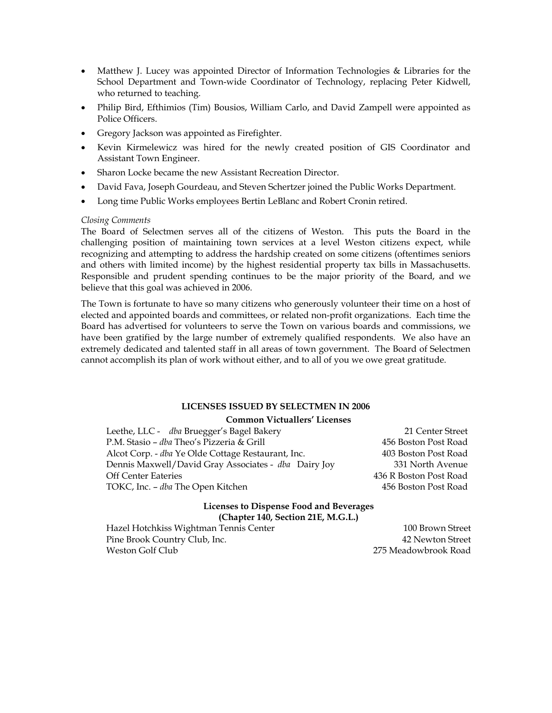- Matthew J. Lucey was appointed Director of Information Technologies & Libraries for the School Department and Town-wide Coordinator of Technology, replacing Peter Kidwell, who returned to teaching.
- Philip Bird, Efthimios (Tim) Bousios, William Carlo, and David Zampell were appointed as Police Officers.
- Gregory Jackson was appointed as Firefighter.
- Kevin Kirmelewicz was hired for the newly created position of GIS Coordinator and Assistant Town Engineer.
- Sharon Locke became the new Assistant Recreation Director.
- David Fava, Joseph Gourdeau, and Steven Schertzer joined the Public Works Department.
- Long time Public Works employees Bertin LeBlanc and Robert Cronin retired.

# *Closing Comments*

The Board of Selectmen serves all of the citizens of Weston. This puts the Board in the challenging position of maintaining town services at a level Weston citizens expect, while recognizing and attempting to address the hardship created on some citizens (oftentimes seniors and others with limited income) by the highest residential property tax bills in Massachusetts. Responsible and prudent spending continues to be the major priority of the Board, and we believe that this goal was achieved in 2006.

The Town is fortunate to have so many citizens who generously volunteer their time on a host of elected and appointed boards and committees, or related non-profit organizations. Each time the Board has advertised for volunteers to serve the Town on various boards and commissions, we have been gratified by the large number of extremely qualified respondents. We also have an extremely dedicated and talented staff in all areas of town government. The Board of Selectmen cannot accomplish its plan of work without either, and to all of you we owe great gratitude.

# **LICENSES ISSUED BY SELECTMEN IN 2006**

# **Common Victuallers' Licenses**

Leethe, LLC - *dba* Bruegger's Bagel Bakery 21 Center Street P.M. Stasio – *dba* Theo's Pizzeria & Grill 456 Boston Post Road Alcot Corp. - *dba* Ye Olde Cottage Restaurant, Inc. 403 Boston Post Road Dennis Maxwell/David Gray Associates - *dba* Dairy Joy 331 North Avenue Off Center Eateries 436 R Boston Post Road TOKC, Inc. – *dba* The Open Kitchen **1988 1988 1988 456 Boston Post Road** 

## **Licenses to Dispense Food and Beverages (Chapter 140, Section 21E, M.G.L.)**

Hazel Hotchkiss Wightman Tennis Center 100 Brown Street Pine Brook Country Club, Inc. 42 Newton Street Weston Golf Club 275 Meadowbrook Road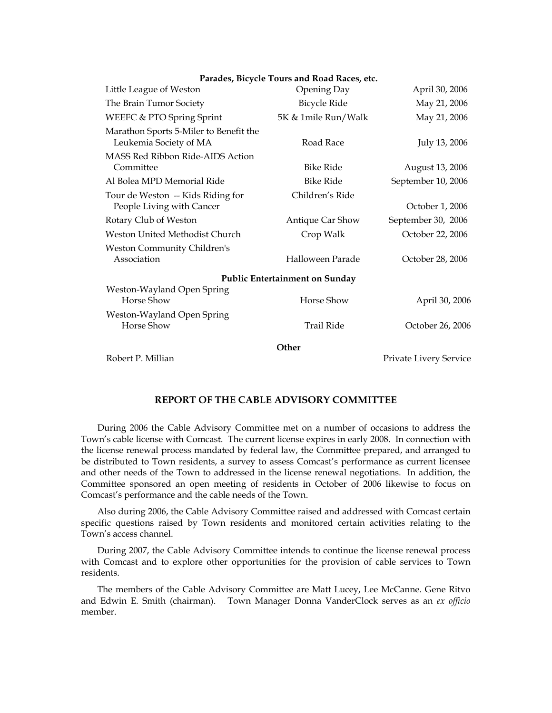| Parades, Bicycle Tours and Road Races, etc.                      |                     |                        |  |  |
|------------------------------------------------------------------|---------------------|------------------------|--|--|
| Little League of Weston                                          | Opening Day         | April 30, 2006         |  |  |
| The Brain Tumor Society                                          | <b>Bicycle Ride</b> | May 21, 2006           |  |  |
| WEEFC & PTO Spring Sprint                                        | 5K & 1mile Run/Walk | May 21, 2006           |  |  |
| Marathon Sports 5-Miler to Benefit the<br>Leukemia Society of MA | Road Race           | July 13, 2006          |  |  |
| MASS Red Ribbon Ride-AIDS Action<br>Committee                    | <b>Bike Ride</b>    | August 13, 2006        |  |  |
| Al Bolea MPD Memorial Ride                                       | <b>Bike Ride</b>    | September 10, 2006     |  |  |
| Tour de Weston -- Kids Riding for<br>People Living with Cancer   | Children's Ride     | October 1, 2006        |  |  |
| Rotary Club of Weston                                            | Antique Car Show    | September 30, 2006     |  |  |
| Weston United Methodist Church                                   | Crop Walk           | October 22, 2006       |  |  |
| Weston Community Children's<br>Association                       | Halloween Parade    | October 28, 2006       |  |  |
| <b>Public Entertainment on Sunday</b>                            |                     |                        |  |  |
| Weston-Wayland Open Spring<br>Horse Show                         | Horse Show          | April 30, 2006         |  |  |
| Weston-Wayland Open Spring<br>Horse Show                         | Trail Ride          | October 26, 2006       |  |  |
| Other                                                            |                     |                        |  |  |
| Robert P. Millian                                                |                     | Private Livery Service |  |  |

# **REPORT OF THE CABLE ADVISORY COMMITTEE**

 During 2006 the Cable Advisory Committee met on a number of occasions to address the Town's cable license with Comcast. The current license expires in early 2008. In connection with the license renewal process mandated by federal law, the Committee prepared, and arranged to be distributed to Town residents, a survey to assess Comcast's performance as current licensee and other needs of the Town to addressed in the license renewal negotiations. In addition, the Committee sponsored an open meeting of residents in October of 2006 likewise to focus on Comcast's performance and the cable needs of the Town.

 Also during 2006, the Cable Advisory Committee raised and addressed with Comcast certain specific questions raised by Town residents and monitored certain activities relating to the Town's access channel.

 During 2007, the Cable Advisory Committee intends to continue the license renewal process with Comcast and to explore other opportunities for the provision of cable services to Town residents.

 The members of the Cable Advisory Committee are Matt Lucey, Lee McCanne. Gene Ritvo and Edwin E. Smith (chairman). Town Manager Donna VanderClock serves as an *ex officio*  member.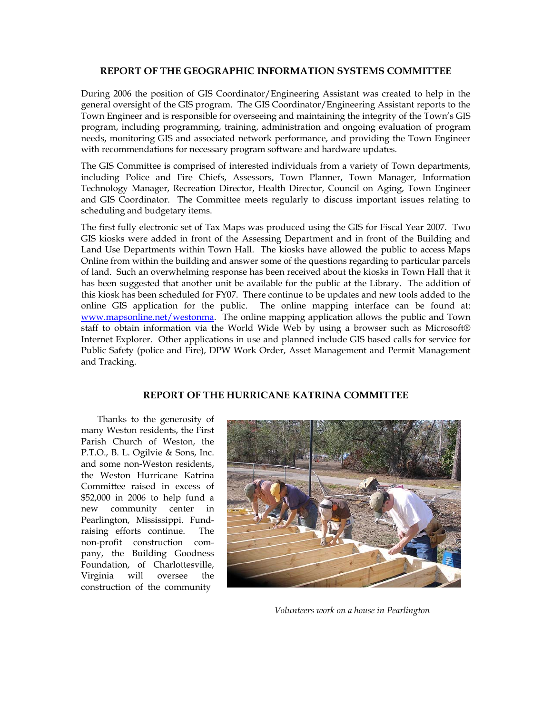# **REPORT OF THE GEOGRAPHIC INFORMATION SYSTEMS COMMITTEE**

During 2006 the position of GIS Coordinator/Engineering Assistant was created to help in the general oversight of the GIS program. The GIS Coordinator/Engineering Assistant reports to the Town Engineer and is responsible for overseeing and maintaining the integrity of the Town's GIS program, including programming, training, administration and ongoing evaluation of program needs, monitoring GIS and associated network performance, and providing the Town Engineer with recommendations for necessary program software and hardware updates.

The GIS Committee is comprised of interested individuals from a variety of Town departments, including Police and Fire Chiefs, Assessors, Town Planner, Town Manager, Information Technology Manager, Recreation Director, Health Director, Council on Aging, Town Engineer and GIS Coordinator. The Committee meets regularly to discuss important issues relating to scheduling and budgetary items.

The first fully electronic set of Tax Maps was produced using the GIS for Fiscal Year 2007. Two GIS kiosks were added in front of the Assessing Department and in front of the Building and Land Use Departments within Town Hall. The kiosks have allowed the public to access Maps Online from within the building and answer some of the questions regarding to particular parcels of land. Such an overwhelming response has been received about the kiosks in Town Hall that it has been suggested that another unit be available for the public at the Library. The addition of this kiosk has been scheduled for FY07. There continue to be updates and new tools added to the online GIS application for the public. The online mapping interface can be found at: www.mapsonline.net/westonma. The online mapping application allows the public and Town staff to obtain information via the World Wide Web by using a browser such as Microsoft® Internet Explorer. Other applications in use and planned include GIS based calls for service for Public Safety (police and Fire), DPW Work Order, Asset Management and Permit Management and Tracking.

# **REPORT OF THE HURRICANE KATRINA COMMITTEE**

Thanks to the generosity of many Weston residents, the First Parish Church of Weston, the P.T.O., B. L. Ogilvie & Sons, Inc. and some non-Weston residents, the Weston Hurricane Katrina Committee raised in excess of \$52,000 in 2006 to help fund a new community center in Pearlington, Mississippi. Fundraising efforts continue. The non-profit construction company, the Building Goodness Foundation, of Charlottesville, Virginia will oversee the construction of the community



*Volunteers work on a house in Pearlington*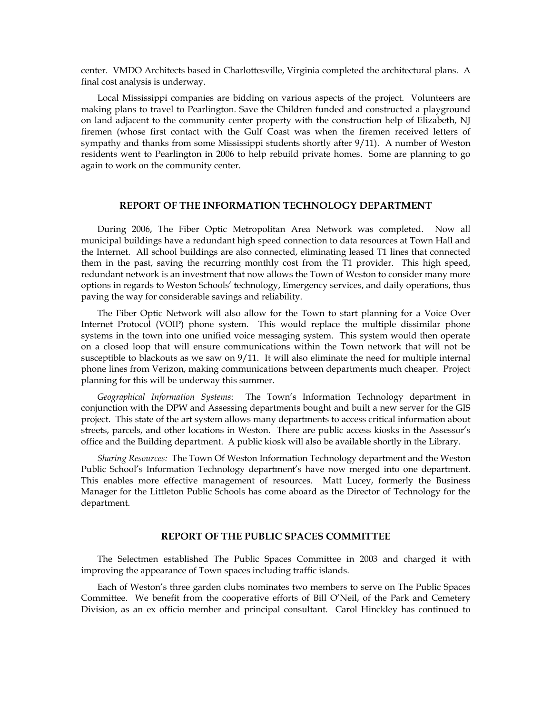center. VMDO Architects based in Charlottesville, Virginia completed the architectural plans. A final cost analysis is underway.

Local Mississippi companies are bidding on various aspects of the project. Volunteers are making plans to travel to Pearlington. Save the Children funded and constructed a playground on land adjacent to the community center property with the construction help of Elizabeth, NJ firemen (whose first contact with the Gulf Coast was when the firemen received letters of sympathy and thanks from some Mississippi students shortly after 9/11). A number of Weston residents went to Pearlington in 2006 to help rebuild private homes. Some are planning to go again to work on the community center.

## **REPORT OF THE INFORMATION TECHNOLOGY DEPARTMENT**

During 2006, The Fiber Optic Metropolitan Area Network was completed. Now all municipal buildings have a redundant high speed connection to data resources at Town Hall and the Internet. All school buildings are also connected, eliminating leased T1 lines that connected them in the past, saving the recurring monthly cost from the T1 provider. This high speed, redundant network is an investment that now allows the Town of Weston to consider many more options in regards to Weston Schools' technology, Emergency services, and daily operations, thus paving the way for considerable savings and reliability.

The Fiber Optic Network will also allow for the Town to start planning for a Voice Over Internet Protocol (VOIP) phone system. This would replace the multiple dissimilar phone systems in the town into one unified voice messaging system. This system would then operate on a closed loop that will ensure communications within the Town network that will not be susceptible to blackouts as we saw on 9/11. It will also eliminate the need for multiple internal phone lines from Verizon, making communications between departments much cheaper. Project planning for this will be underway this summer.

*Geographical Information Systems*: The Town's Information Technology department in conjunction with the DPW and Assessing departments bought and built a new server for the GIS project. This state of the art system allows many departments to access critical information about streets, parcels, and other locations in Weston. There are public access kiosks in the Assessor's office and the Building department. A public kiosk will also be available shortly in the Library.

*Sharing Resources:* The Town Of Weston Information Technology department and the Weston Public School's Information Technology department's have now merged into one department. This enables more effective management of resources. Matt Lucey, formerly the Business Manager for the Littleton Public Schools has come aboard as the Director of Technology for the department.

#### **REPORT OF THE PUBLIC SPACES COMMITTEE**

The Selectmen established The Public Spaces Committee in 2003 and charged it with improving the appearance of Town spaces including traffic islands.

Each of Weston's three garden clubs nominates two members to serve on The Public Spaces Committee. We benefit from the cooperative efforts of Bill O'Neil, of the Park and Cemetery Division, as an ex officio member and principal consultant. Carol Hinckley has continued to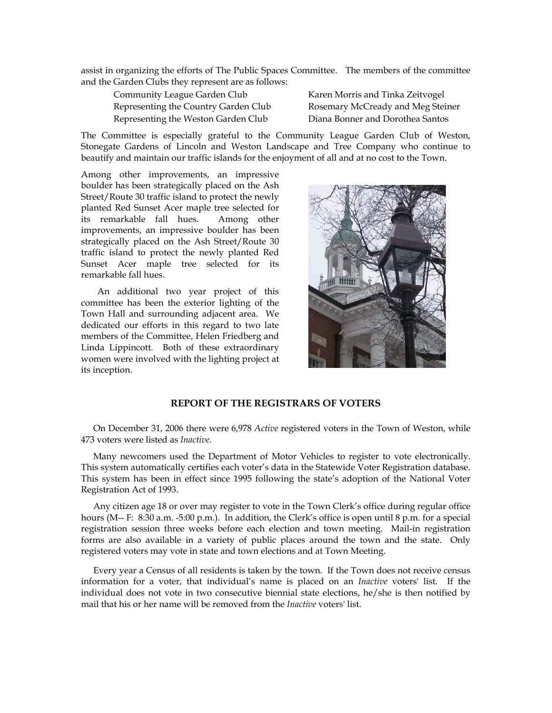assist in organizing the efforts of The Public Spaces Committee. The members of the committee and the Garden Clubs they represent are as follows:

 Community League Garden Club Karen Morris and Tinka Zeitvogel Representing the Country Garden Club Rosemary McCready and Meg Steiner Representing the Weston Garden Club Diana Bonner and Dorothea Santos

The Committee is especially grateful to the Community League Garden Club of Weston, Stonegate Gardens of Lincoln and Weston Landscape and Tree Company who continue to beautify and maintain our traffic islands for the enjoyment of all and at no cost to the Town.

Among other improvements, an impressive boulder has been strategically placed on the Ash Street/Route 30 traffic island to protect the newly planted Red Sunset Acer maple tree selected for its remarkable fall hues. Among other improvements, an impressive boulder has been strategically placed on the Ash Street/Route 30 traffic island to protect the newly planted Red Sunset Acer maple tree selected for its remarkable fall hues.

An additional two year project of this committee has been the exterior lighting of the Town Hall and surrounding adjacent area. We dedicated our efforts in this regard to two late members of the Committee, Helen Friedberg and Linda Lippincott. Both of these extraordinary women were involved with the lighting project at its inception.



# **REPORT OF THE REGISTRARS OF VOTERS**

On December 31, 2006 there were 6,978 *Active* registered voters in the Town of Weston, while 473 voters were listed as *Inactive.* 

Many newcomers used the Department of Motor Vehicles to register to vote electronically. This system automatically certifies each voter's data in the Statewide Voter Registration database. This system has been in effect since 1995 following the state's adoption of the National Voter Registration Act of 1993.

Any citizen age 18 or over may register to vote in the Town Clerk's office during regular office hours (M-- F: 8:30 a.m. -5:00 p.m.). In addition, the Clerk's office is open until 8 p.m. for a special registration session three weeks before each election and town meeting. Mail-in registration forms are also available in a variety of public places around the town and the state. Only registered voters may vote in state and town elections and at Town Meeting.

Every year a Census of all residents is taken by the town. If the Town does not receive census information for a voter, that individual's name is placed on an *Inactive* voters' list. If the individual does not vote in two consecutive biennial state elections, he/she is then notified by mail that his or her name will be removed from the *Inactive* voters' list.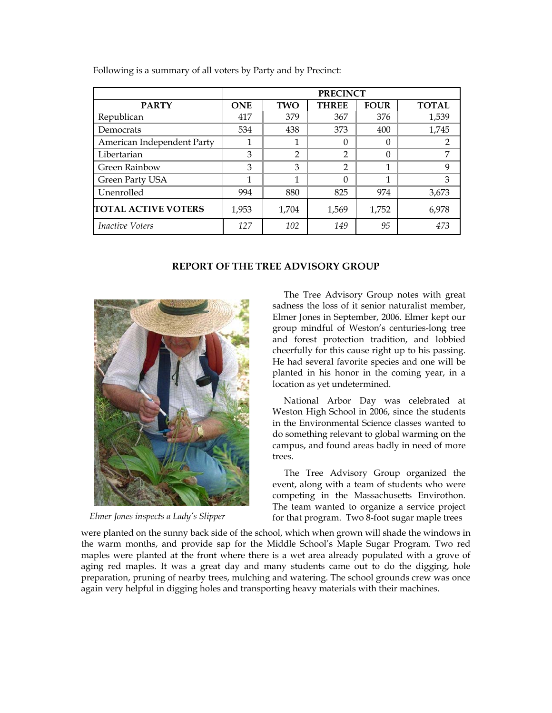|                            | <b>PRECINCT</b> |                |                |             |              |
|----------------------------|-----------------|----------------|----------------|-------------|--------------|
| <b>PARTY</b>               | <b>ONE</b>      | TWO            | <b>THREE</b>   | <b>FOUR</b> | <b>TOTAL</b> |
| Republican                 | 417             | 379            | 367            | 376         | 1,539        |
| Democrats                  | 534             | 438            | 373            | 400         | 1,745        |
| American Independent Party |                 |                | 0              | 0           | 2            |
| Libertarian                | 3               | $\mathfrak{D}$ | $\mathfrak{p}$ | 0           | 7            |
| Green Rainbow              | 3               | 3              | $\mathfrak{D}$ | 1           | 9            |
| Green Party USA            |                 | 1              | 0              | 1           | 3            |
| Unenrolled                 | 994             | 880            | 825            | 974         | 3,673        |
| <b>TOTAL ACTIVE VOTERS</b> | 1,953           | 1,704          | 1,569          | 1,752       | 6,978        |
| <i>Inactive Voters</i>     | 127             | 102            | 149            | 95          | 473          |

Following is a summary of all voters by Party and by Precinct:

# **REPORT OF THE TREE ADVISORY GROUP**



*Elmer Jones inspects a Lady's Slipper* 

The Tree Advisory Group notes with great sadness the loss of it senior naturalist member, Elmer Jones in September, 2006. Elmer kept our group mindful of Weston's centuries-long tree and forest protection tradition, and lobbied cheerfully for this cause right up to his passing. He had several favorite species and one will be planted in his honor in the coming year, in a location as yet undetermined.

National Arbor Day was celebrated at Weston High School in 2006, since the students in the Environmental Science classes wanted to do something relevant to global warming on the campus, and found areas badly in need of more trees.

The Tree Advisory Group organized the event, along with a team of students who were competing in the Massachusetts Envirothon. The team wanted to organize a service project for that program. Two 8-foot sugar maple trees

were planted on the sunny back side of the school, which when grown will shade the windows in the warm months, and provide sap for the Middle School's Maple Sugar Program. Two red maples were planted at the front where there is a wet area already populated with a grove of aging red maples. It was a great day and many students came out to do the digging, hole preparation, pruning of nearby trees, mulching and watering. The school grounds crew was once again very helpful in digging holes and transporting heavy materials with their machines.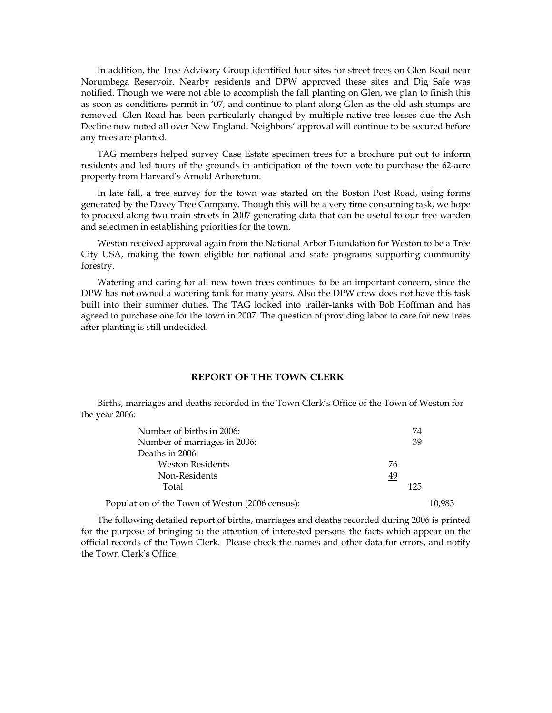In addition, the Tree Advisory Group identified four sites for street trees on Glen Road near Norumbega Reservoir. Nearby residents and DPW approved these sites and Dig Safe was notified. Though we were not able to accomplish the fall planting on Glen, we plan to finish this as soon as conditions permit in '07, and continue to plant along Glen as the old ash stumps are removed. Glen Road has been particularly changed by multiple native tree losses due the Ash Decline now noted all over New England. Neighbors' approval will continue to be secured before any trees are planted.

TAG members helped survey Case Estate specimen trees for a brochure put out to inform residents and led tours of the grounds in anticipation of the town vote to purchase the 62-acre property from Harvard's Arnold Arboretum.

In late fall, a tree survey for the town was started on the Boston Post Road, using forms generated by the Davey Tree Company. Though this will be a very time consuming task, we hope to proceed along two main streets in 2007 generating data that can be useful to our tree warden and selectmen in establishing priorities for the town.

Weston received approval again from the National Arbor Foundation for Weston to be a Tree City USA, making the town eligible for national and state programs supporting community forestry.

Watering and caring for all new town trees continues to be an important concern, since the DPW has not owned a watering tank for many years. Also the DPW crew does not have this task built into their summer duties. The TAG looked into trailer-tanks with Bob Hoffman and has agreed to purchase one for the town in 2007. The question of providing labor to care for new trees after planting is still undecided.

### **REPORT OF THE TOWN CLERK**

 Births, marriages and deaths recorded in the Town Clerk's Office of the Town of Weston for the year 2006:

| Number of births in 2006:                       |    | 74  |        |
|-------------------------------------------------|----|-----|--------|
| Number of marriages in 2006:                    |    | 39  |        |
| Deaths in 2006:                                 |    |     |        |
| <b>Weston Residents</b>                         | 76 |     |        |
| Non-Residents                                   | 49 |     |        |
| Total                                           |    | 125 |        |
| Population of the Town of Weston (2006 census): |    |     | 10.983 |

 The following detailed report of births, marriages and deaths recorded during 2006 is printed for the purpose of bringing to the attention of interested persons the facts which appear on the official records of the Town Clerk. Please check the names and other data for errors, and notify the Town Clerk's Office.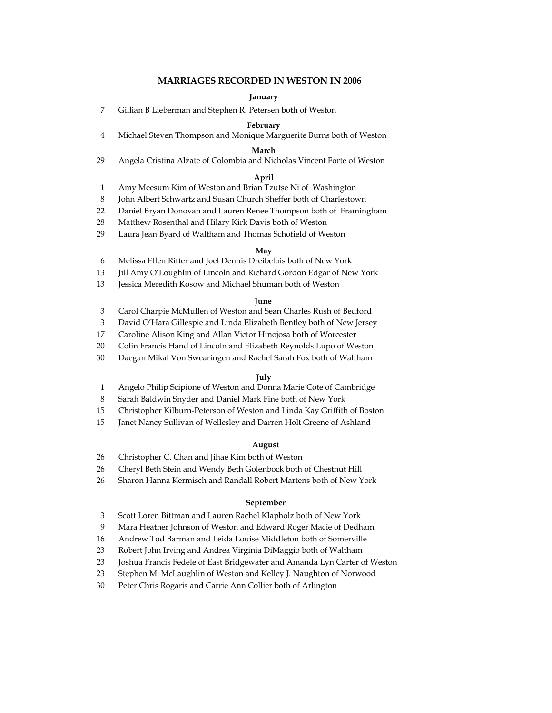#### **MARRIAGES RECORDED IN WESTON IN 2006**

#### **January**

7 Gillian B Lieberman and Stephen R. Petersen both of Weston

#### **February**

4 Michael Steven Thompson and Monique Marguerite Burns both of Weston

#### **March**

29 Angela Cristina Alzate of Colombia and Nicholas Vincent Forte of Weston

## **April**

- 1 Amy Meesum Kim of Weston and Brian Tzutse Ni of Washington
- 8 John Albert Schwartz and Susan Church Sheffer both of Charlestown
- 22 Daniel Bryan Donovan and Lauren Renee Thompson both of Framingham
- 28 Matthew Rosenthal and Hilary Kirk Davis both of Weston
- 29 Laura Jean Byard of Waltham and Thomas Schofield of Weston

#### **May**

- 6 Melissa Ellen Ritter and Joel Dennis Dreibelbis both of New York
- 13 Jill Amy O'Loughlin of Lincoln and Richard Gordon Edgar of New York
- 13 Jessica Meredith Kosow and Michael Shuman both of Weston

#### **June**

- 3 Carol Charpie McMullen of Weston and Sean Charles Rush of Bedford
- 3 David O'Hara Gillespie and Linda Elizabeth Bentley both of New Jersey
- 17 Caroline Alison King and Allan Victor Hinojosa both of Worcester
- 20 Colin Francis Hand of Lincoln and Elizabeth Reynolds Lupo of Weston
- 30 Daegan Mikal Von Swearingen and Rachel Sarah Fox both of Waltham

#### **July**

- 1 Angelo Philip Scipione of Weston and Donna Marie Cote of Cambridge
- 8 Sarah Baldwin Snyder and Daniel Mark Fine both of New York
- 15 Christopher Kilburn-Peterson of Weston and Linda Kay Griffith of Boston
- 15 Janet Nancy Sullivan of Wellesley and Darren Holt Greene of Ashland

#### **August**

- 26 Christopher C. Chan and Jihae Kim both of Weston
- 26 Cheryl Beth Stein and Wendy Beth Golenbock both of Chestnut Hill
- 26 Sharon Hanna Kermisch and Randall Robert Martens both of New York

#### **September**

- 3 Scott Loren Bittman and Lauren Rachel Klapholz both of New York
- 9 Mara Heather Johnson of Weston and Edward Roger Macie of Dedham
- 16 Andrew Tod Barman and Leida Louise Middleton both of Somerville
- 23 Robert John Irving and Andrea Virginia DiMaggio both of Waltham
- 23 Joshua Francis Fedele of East Bridgewater and Amanda Lyn Carter of Weston
- 23 Stephen M. McLaughlin of Weston and Kelley J. Naughton of Norwood
- 30 Peter Chris Rogaris and Carrie Ann Collier both of Arlington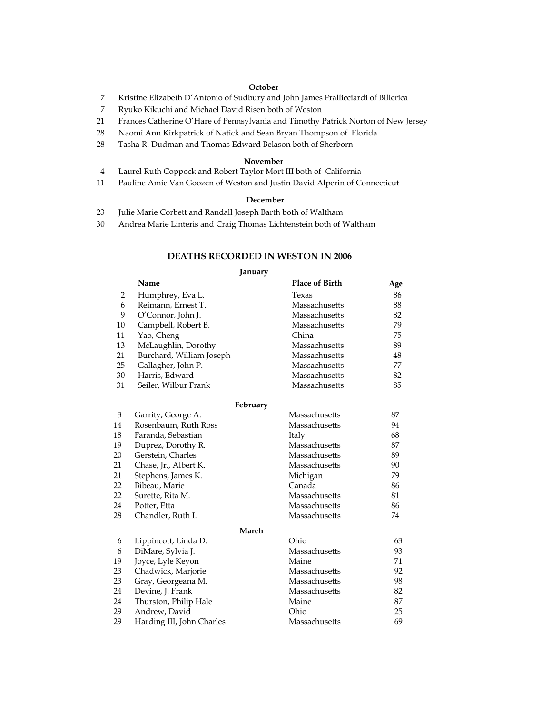#### **October**

- 7 Kristine Elizabeth D'Antonio of Sudbury and John James Frallicciardi of Billerica
- 7 Ryuko Kikuchi and Michael David Risen both of Weston
- 21 Frances Catherine O'Hare of Pennsylvania and Timothy Patrick Norton of New Jersey
- 28 Naomi Ann Kirkpatrick of Natick and Sean Bryan Thompson of Florida
- 28 Tasha R. Dudman and Thomas Edward Belason both of Sherborn

#### **November**

- 4 Laurel Ruth Coppock and Robert Taylor Mort III both of California
- 11 Pauline Amie Van Goozen of Weston and Justin David Alperin of Connecticut

#### **December**

- 23 Julie Marie Corbett and Randall Joseph Barth both of Waltham
- 30 Andrea Marie Linteris and Craig Thomas Lichtenstein both of Waltham

#### **DEATHS RECORDED IN WESTON IN 2006**

#### **January**

|                | Name                      | <b>Place of Birth</b> | Age    |
|----------------|---------------------------|-----------------------|--------|
| 2              | Humphrey, Eva L.          | Texas                 | 86     |
| 6              | Reimann, Ernest T.        | Massachusetts         | 88     |
| 9              | O'Connor, John J.         | Massachusetts         | 82     |
| 10             | Campbell, Robert B.       | Massachusetts         | 79     |
| 11             | Yao, Cheng                | China                 | 75     |
| 13             | McLaughlin, Dorothy       | Massachusetts         | 89     |
| 21             | Burchard, William Joseph  | Massachusetts         | 48     |
| 25             | Gallagher, John P.        | Massachusetts         | 77     |
| 30             | Harris, Edward            | Massachusetts         | 82     |
| 31             | Seiler, Wilbur Frank      | Massachusetts         | 85     |
|                | February                  |                       |        |
| $\mathfrak{B}$ | Garrity, George A.        | Massachusetts         | 87     |
| 14             | Rosenbaum, Ruth Ross      | Massachusetts         | 94     |
| 18             | Faranda, Sebastian        | Italy                 | 68     |
| 19             | Duprez, Dorothy R.        | Massachusetts         | $87\,$ |
| 20             | Gerstein, Charles         | Massachusetts         | 89     |
| 21             | Chase, Jr., Albert K.     | Massachusetts         | 90     |
| 21             | Stephens, James K.        | Michigan              | 79     |
| 22             | Bibeau, Marie             | Canada                | 86     |
| 22             | Surette, Rita M.          | Massachusetts         | 81     |
| 24             | Potter, Etta              | Massachusetts         | 86     |
| 28             | Chandler, Ruth I.         | Massachusetts         | 74     |
|                | March                     |                       |        |
| 6              | Lippincott, Linda D.      | Ohio                  | 63     |
| 6              | DiMare, Sylvia J.         | Massachusetts         | 93     |
| 19             | Joyce, Lyle Keyon         | Maine                 | 71     |
| 23             | Chadwick, Marjorie        | Massachusetts         | 92     |
| 23             | Gray, Georgeana M.        | Massachusetts         | 98     |
| 24             | Devine, J. Frank          | Massachusetts         | 82     |
| 24             | Thurston, Philip Hale     | Maine                 | 87     |
| 29             | Andrew, David             | Ohio                  | 25     |
| 29             | Harding III, John Charles | Massachusetts         | 69     |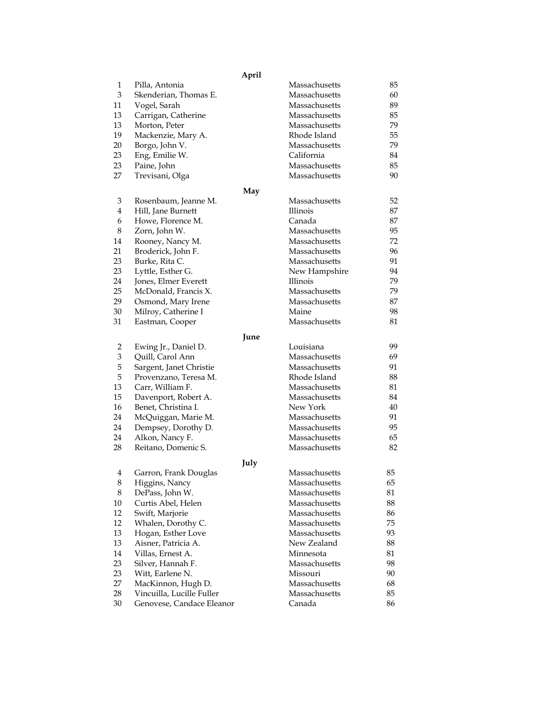|          |                                                        | April                   |          |
|----------|--------------------------------------------------------|-------------------------|----------|
| 1        | Pilla, Antonia                                         | Massachusetts           | 85       |
| 3        | Skenderian, Thomas E.                                  | Massachusetts           | 60       |
| 11       | Vogel, Sarah                                           | Massachusetts           | 89       |
| 13       | Carrigan, Catherine                                    | Massachusetts           | 85       |
| 13       | Morton, Peter                                          | Massachusetts           | 79       |
| 19       | Mackenzie, Mary A.                                     | Rhode Island            | 55       |
| 20       | Borgo, John V.                                         | Massachusetts           | 79       |
| 23       | Eng, Emilie W.                                         | California              | 84       |
| 23       | Paine, John                                            | Massachusetts           | 85       |
| 27       | Trevisani, Olga                                        | Massachusetts           | 90       |
|          |                                                        | May                     |          |
| 3        | Rosenbaum, Jeanne M.                                   | Massachusetts           | 52       |
| 4        | Hill, Jane Burnett                                     | Illinois                | 87       |
| 6        | Howe, Florence M.                                      | Canada                  | 87       |
| 8        | Zorn, John W.                                          | Massachusetts           | 95       |
| 14       | Rooney, Nancy M.                                       | Massachusetts           | 72       |
| 21       | Broderick, John F.                                     | Massachusetts           | 96       |
| 23       | Burke, Rita C.                                         | Massachusetts           | 91       |
| 23       | Lyttle, Esther G.                                      | New Hampshire           | 94       |
| 24       | Jones, Elmer Everett                                   | Illinois                | 79       |
| 25       | McDonald, Francis X.                                   | Massachusetts           | 79       |
| 29       | Osmond, Mary Irene                                     | Massachusetts           | 87       |
| 30       | Milroy, Catherine I                                    | Maine                   | 98       |
| 31       | Eastman, Cooper                                        | Massachusetts           | 81       |
|          |                                                        |                         |          |
|          |                                                        | June                    |          |
| 2        | Ewing Jr., Daniel D.                                   | Louisiana               | 99       |
| 3        | Quill, Carol Ann                                       | Massachusetts           | 69       |
| 5        | Sargent, Janet Christie                                | Massachusetts           | 91       |
| 5        | Provenzano, Teresa M.                                  | Rhode Island            | 88       |
| 13       | Carr, William F.                                       | Massachusetts           | 81       |
| 15       | Davenport, Robert A.                                   | Massachusetts           | 84       |
| 16       | Benet, Christina I.                                    | New York                | 40       |
| 24       | McQuiggan, Marie M.                                    | Massachusetts           | 91       |
| 24       | Dempsey, Dorothy D.                                    | Massachusetts           | 95       |
| 24       | Alkon, Nancy F.                                        | Massachusetts           | 65       |
| 28       | Reitano, Domenic S.                                    | Massachusetts           | 82       |
|          | July                                                   |                         |          |
| 4        | Garron, Frank Douglas                                  | Massachusetts           | 85       |
| 8        | Higgins, Nancy                                         | Massachusetts           | 65       |
| 8        | DePass, John W.                                        | Massachusetts           | 81       |
| 10       | Curtis Abel, Helen                                     | Massachusetts           | 88       |
| 12       | Swift, Marjorie                                        | Massachusetts           | 86       |
| 12       | Whalen, Dorothy C.                                     | Massachusetts           | 75       |
| 13       | Hogan, Esther Love                                     | Massachusetts           | 93       |
| 13       | Aisner, Patricia A.                                    | New Zealand             | 88       |
| 14       | Villas, Ernest A.                                      | Minnesota               | 81       |
| 23       | Silver, Hannah F.                                      | Massachusetts           | 98       |
| 23       | Witt, Earlene N.                                       | Missouri                | 90       |
| 27       | MacKinnon, Hugh D.                                     | Massachusetts           | 68       |
|          |                                                        |                         |          |
| 28<br>30 | Vincuilla, Lucille Fuller<br>Genovese, Candace Eleanor | Massachusetts<br>Canada | 85<br>86 |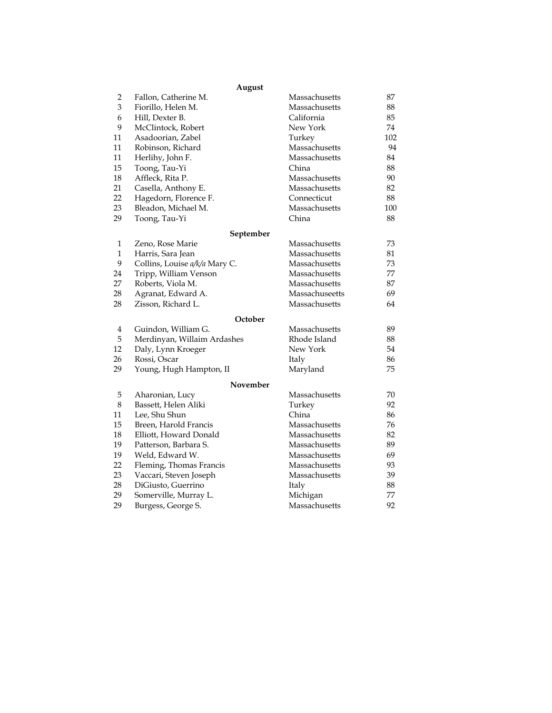|                         | August                        |                |     |
|-------------------------|-------------------------------|----------------|-----|
| 2                       | Fallon, Catherine M.          | Massachusetts  | 87  |
| 3                       | Fiorillo, Helen M.            | Massachusetts  | 88  |
| 6                       | Hill, Dexter B.               | California     | 85  |
| 9                       | McClintock, Robert            | New York       | 74  |
| 11                      | Asadoorian, Zabel             | Turkey         | 102 |
| 11                      | Robinson, Richard             | Massachusetts  | 94  |
| 11                      | Herlihy, John F.              | Massachusetts  | 84  |
| 15                      | Toong, Tau-Yi                 | China          | 88  |
| 18                      | Affleck, Rita P.              | Massachusetts  | 90  |
| 21                      | Casella, Anthony E.           | Massachusetts  | 82  |
| 22                      | Hagedorn, Florence F.         | Connecticut    | 88  |
| 23                      | Bleadon, Michael M.           | Massachusetts  | 100 |
| 29                      | Toong, Tau-Yi                 | China          | 88  |
|                         | September                     |                |     |
| $\mathbf{1}$            | Zeno, Rose Marie              | Massachusetts  | 73  |
| $\mathbf{1}$            | Harris, Sara Jean             | Massachusetts  | 81  |
| 9                       | Collins, Louise a/k/a Mary C. | Massachusetts  | 73  |
| 24                      | Tripp, William Venson         | Massachusetts  | 77  |
| 27                      | Roberts, Viola M.             | Massachusetts  | 87  |
| 28                      | Agranat, Edward A.            | Massachuseetts | 69  |
| 28                      | Zisson, Richard L.            | Massachusetts  | 64  |
|                         | October                       |                |     |
| $\overline{\mathbf{4}}$ | Guindon, William G.           | Massachusetts  | 89  |
| 5                       | Merdinyan, Willaim Ardashes   | Rhode Island   | 88  |
| 12                      | Daly, Lynn Kroeger            | New York       | 54  |
| 26                      | Rossi, Oscar                  | Italy          | 86  |
| 29                      | Young, Hugh Hampton, II       | Maryland       | 75  |
|                         | November                      |                |     |
| 5                       | Aharonian, Lucy               | Massachusetts  | 70  |
| 8                       | Bassett, Helen Aliki          | Turkey         | 92  |
| 11                      | Lee, Shu Shun                 | China          | 86  |
| 15                      | Breen, Harold Francis         | Massachusetts  | 76  |
| 18                      | Elliott, Howard Donald        | Massachusetts  | 82  |
| 19                      | Patterson, Barbara S.         | Massachusetts  | 89  |
| 19                      | Weld, Edward W.               | Massachusetts  | 69  |
| 22                      | Fleming, Thomas Francis       | Massachusetts  | 93  |
| 23                      | Vaccari, Steven Joseph        | Massachusetts  | 39  |
| 28                      | DiGiusto, Guerrino            | Italy          | 88  |
| 29                      | Somerville, Murray L.         | Michigan       | 77  |
| 29                      | Burgess, George S.            | Massachusetts  | 92  |